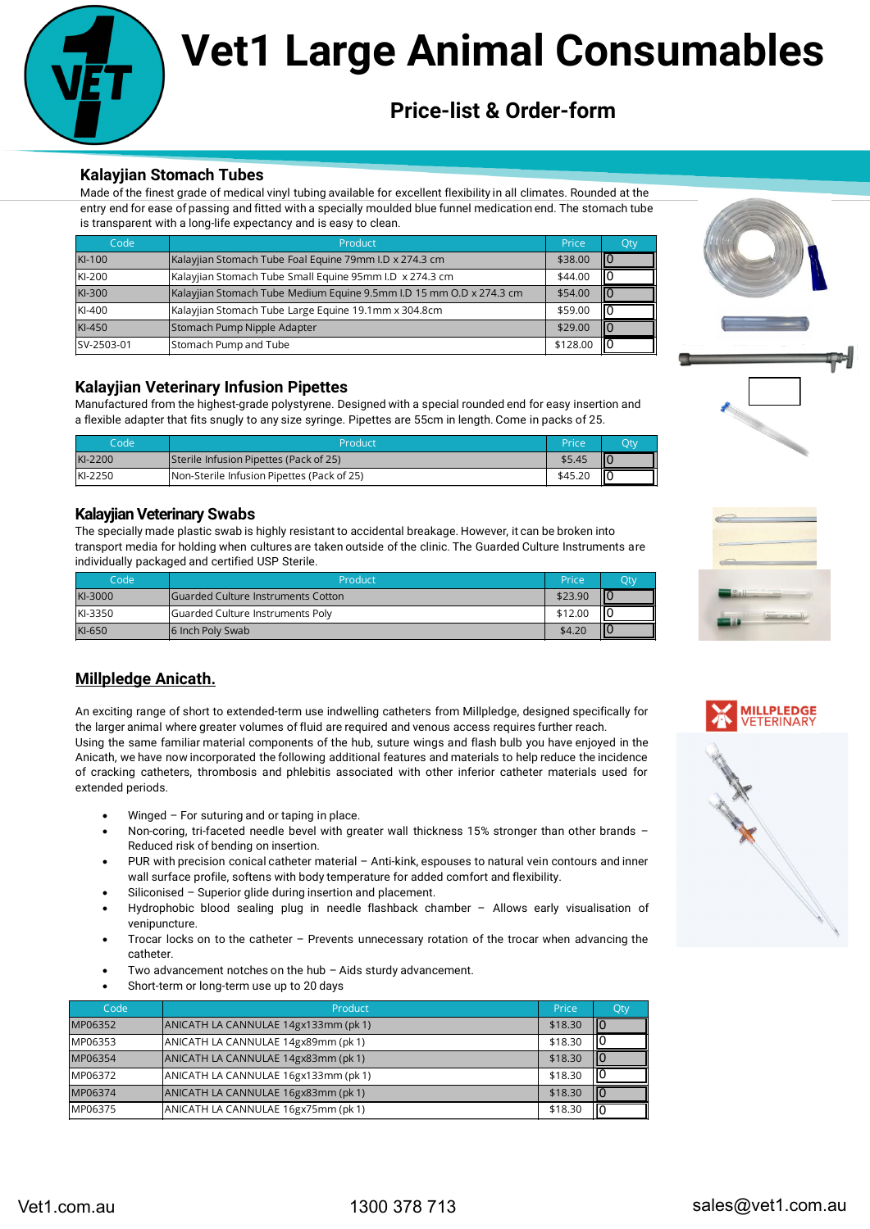

# **Vet1 Large Anir Vet1 Large Animal Consumables**

# **Price-list & Order-form**

### **Kalayjian Stomach Tubes**

| Code       | Product                                                             | Price    | Qty |
|------------|---------------------------------------------------------------------|----------|-----|
| KI-100     | Kalayjian Stomach Tube Foal Equine 79mm I.D x 274.3 cm              | \$38.00  |     |
| KI-200     | Kalayjian Stomach Tube Small Equine 95mm I.D x 274.3 cm             | \$44.00  |     |
| KI-300     | Kalayjian Stomach Tube Medium Equine 9.5mm I.D 15 mm O.D x 274.3 cm | \$54.00  |     |
| KI-400     | Kalayjian Stomach Tube Large Equine 19.1mm x 304.8cm                | \$59.00  |     |
| KI-450     | Stomach Pump Nipple Adapter                                         | \$29.00  |     |
| SV-2503-01 | Stomach Pump and Tube                                               | \$128.00 |     |

### **Kalayjian Veterinary Infusion Pipettes**

| Code    | Product                                    | Price   | Qty |
|---------|--------------------------------------------|---------|-----|
| KI-2200 | Sterile Infusion Pipettes (Pack of 25)     | \$5.45  | ШO  |
| KI-2250 | Non-Sterile Infusion Pipettes (Pack of 25) | \$45.20 | ШC  |

### **Kalayjian Veterinary Swabs**

| Code    | Product                                    | Price   | <b>Otv</b> |
|---------|--------------------------------------------|---------|------------|
| KI-3000 | <b>IGuarded Culture Instruments Cotton</b> | \$23.90 |            |
| KI-3350 | <b>Guarded Culture Instruments Poly</b>    | \$12.00 | ш          |
| KI-650  | 16 Inch Poly Swab                          | \$4.20  |            |

# **Millpledge Anicath.**

- Winged  $-$  For suturing and or taping in place.
- Non-coring, tri-faceted needle bevel with greater wall thickness 15% stronger than other brands Reduced risk of bending on insertion.
- PUR with precision conical catheter material Anti-kink, espouses to natural vein contours and inner wall surface profile, softens with body temperature for added comfort and flexibility.
- Siliconised Superior glide during insertion and placement.
- Hydrophobic blood sealing plug in needle flashback chamber Allows early visualisation of venipuncture.
- Trocar locks on to the catheter Prevents unnecessary rotation of the trocar when advancing the catheter.
- Two advancement notches on the hub  $-$  Aids sturdy advancement.
- Short-term or long-term use up to 20 days

|                                                     | <b>Kalayjian Stomach Tubes</b><br>Made of the finest grade of medical vinyl tubing available for excellent flexibility in all climates. Rounded at the                                                                                                                                                                           |                                           |         |
|-----------------------------------------------------|----------------------------------------------------------------------------------------------------------------------------------------------------------------------------------------------------------------------------------------------------------------------------------------------------------------------------------|-------------------------------------------|---------|
|                                                     | entry end for ease of passing and fitted with a specially moulded blue funnel medication end. The stomach tube                                                                                                                                                                                                                   |                                           |         |
| Code                                                | is transparent with a long-life expectancy and is easy to clean.<br>Product                                                                                                                                                                                                                                                      | Price<br>Qty                              |         |
| KI-100                                              | Kalayjian Stomach Tube Foal Equine 79mm I.D x 274.3 cm                                                                                                                                                                                                                                                                           | lo.<br>\$38.00                            |         |
| KI-200                                              | Kalayjian Stomach Tube Small Equine 95mm I.D x 274.3 cm                                                                                                                                                                                                                                                                          | ١I٥<br>\$44.00                            |         |
| KI-300                                              | Kalayjian Stomach Tube Medium Equine 9.5mm I.D 15 mm O.D x 274.3 cm                                                                                                                                                                                                                                                              | \$54.00<br>llo                            |         |
| KI-400<br>KI-450                                    | Kalayjian Stomach Tube Large Equine 19.1mm x 304.8cm<br>Stomach Pump Nipple Adapter                                                                                                                                                                                                                                              | \$59.00<br>١I٥<br>\$29.00<br>llО          |         |
| SV-2503-01                                          | Stomach Pump and Tube                                                                                                                                                                                                                                                                                                            | \$128.00<br>llo.                          |         |
|                                                     |                                                                                                                                                                                                                                                                                                                                  |                                           |         |
|                                                     | <b>Kalayjian Veterinary Infusion Pipettes</b>                                                                                                                                                                                                                                                                                    |                                           |         |
|                                                     | Manufactured from the highest-grade polystyrene. Designed with a special rounded end for easy insertion and                                                                                                                                                                                                                      |                                           |         |
|                                                     | a flexible adapter that fits snugly to any size syringe. Pipettes are 55cm in length. Come in packs of 25.                                                                                                                                                                                                                       |                                           |         |
| Code<br>KI-2200                                     | Product<br>Sterile Infusion Pipettes (Pack of 25)                                                                                                                                                                                                                                                                                | Price<br>Qty<br>顺<br>\$5.45               |         |
| KI-2250                                             | Non-Sterile Infusion Pipettes (Pack of 25)                                                                                                                                                                                                                                                                                       | \$45.20<br>llо                            |         |
|                                                     |                                                                                                                                                                                                                                                                                                                                  |                                           |         |
| Code                                                | <b>Kalayjian Veterinary Swabs</b><br>The specially made plastic swab is highly resistant to accidental breakage. However, it can be broken into<br>transport media for holding when cultures are taken outside of the clinic. The Guarded Culture Instruments are<br>individually packaged and certified USP Sterile.<br>Product | Price<br>Qty                              |         |
| KI-3000<br>KI-3350                                  | <b>Guarded Culture Instruments Cotton</b><br>Guarded Culture Instruments Poly                                                                                                                                                                                                                                                    | $\sqrt{0}$<br>\$23.90<br>10<br>\$12.00    |         |
| KI-650                                              | 6 Inch Poly Swab                                                                                                                                                                                                                                                                                                                 | $\overline{10}$<br>\$4.20                 |         |
|                                                     |                                                                                                                                                                                                                                                                                                                                  |                                           |         |
|                                                     | <b>Millpledge Anicath.</b>                                                                                                                                                                                                                                                                                                       |                                           |         |
|                                                     | An exciting range of short to extended-term use indwelling catheters from Millpledge, designed specifically for                                                                                                                                                                                                                  |                                           |         |
|                                                     | the larger animal where greater volumes of fluid are required and venous access requires further reach.                                                                                                                                                                                                                          |                                           |         |
|                                                     | Using the same familiar material components of the hub, suture wings and flash bulb you have enjoyed in the                                                                                                                                                                                                                      |                                           |         |
|                                                     | Anicath, we have now incorporated the following additional features and materials to help reduce the incidence<br>of cracking catheters, thrombosis and phlebitis associated with other inferior catheter materials used for                                                                                                     |                                           |         |
| extended periods.                                   |                                                                                                                                                                                                                                                                                                                                  |                                           |         |
|                                                     | Winged - For suturing and or taping in place.                                                                                                                                                                                                                                                                                    |                                           |         |
|                                                     | Non-coring, tri-faceted needle bevel with greater wall thickness 15% stronger than other brands -                                                                                                                                                                                                                                |                                           |         |
| $\bullet$                                           | Reduced risk of bending on insertion.<br>PUR with precision conical catheter material - Anti-kink, espouses to natural vein contours and inner                                                                                                                                                                                   |                                           | The Sea |
|                                                     | wall surface profile, softens with body temperature for added comfort and flexibility.                                                                                                                                                                                                                                           |                                           |         |
| $\bullet$<br>$\bullet$                              | Siliconised - Superior glide during insertion and placement.                                                                                                                                                                                                                                                                     |                                           |         |
|                                                     | Hydrophobic blood sealing plug in needle flashback chamber - Allows early visualisation of<br>venipuncture.                                                                                                                                                                                                                      |                                           |         |
| $\bullet$                                           | Trocar locks on to the catheter - Prevents unnecessary rotation of the trocar when advancing the                                                                                                                                                                                                                                 |                                           |         |
|                                                     | catheter.                                                                                                                                                                                                                                                                                                                        |                                           |         |
| $\bullet$                                           | Two advancement notches on the hub $-$ Aids sturdy advancement.<br>Short-term or long-term use up to 20 days                                                                                                                                                                                                                     |                                           |         |
| Code                                                | Product                                                                                                                                                                                                                                                                                                                          | Price<br>Qty                              |         |
|                                                     | ANICATH LA CANNULAE 14gx133mm (pk 1)                                                                                                                                                                                                                                                                                             | 10<br>\$18.30                             |         |
|                                                     | ANICATH LA CANNULAE 14gx89mm (pk 1)                                                                                                                                                                                                                                                                                              | $\sqrt{2}$<br>\$18.30                     |         |
|                                                     | ANICATH LA CANNULAE 14gx83mm (pk 1)                                                                                                                                                                                                                                                                                              | $\vert 0 \vert$<br>\$18.30                |         |
| MP06352<br>MP06353<br>MP06354<br>MP06372<br>MP06374 | ANICATH LA CANNULAE 16gx133mm (pk 1)<br>ANICATH LA CANNULAE 16gx83mm (pk 1)                                                                                                                                                                                                                                                      | O<br>\$18.30<br>$\overline{0}$<br>\$18.30 |         |